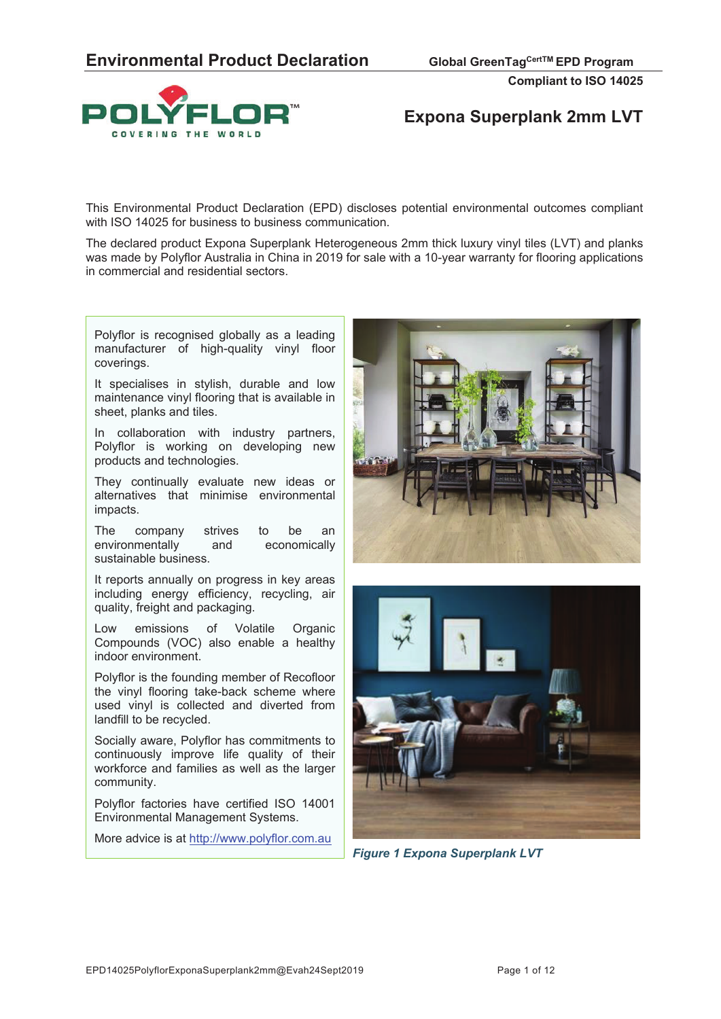

# **Expona Superplank 2mm LVT**

This Environmental Product Declaration (EPD) discloses potential environmental outcomes compliant with ISO 14025 for business to business communication.

The declared product Expona Superplank Heterogeneous 2mm thick luxury vinyl tiles (LVT) and planks was made by Polyflor Australia in China in 2019 for sale with a 10-year warranty for flooring applications in commercial and residential sectors.

Polyflor is recognised globally as a leading manufacturer of high-quality vinyl floor coverings.

It specialises in stylish, durable and low maintenance vinyl flooring that is available in sheet, planks and tiles.

In collaboration with industry partners, Polyflor is working on developing new products and technologies.

They continually evaluate new ideas or alternatives that minimise environmental impacts.

The company strives to be an environmentally and economically sustainable business.

It reports annually on progress in key areas including energy efficiency, recycling, air quality, freight and packaging.

Low emissions of Volatile Organic Compounds (VOC) also enable a healthy indoor environment.

Polyflor is the founding member of Recofloor the vinyl flooring take-back scheme where used vinyl is collected and diverted from landfill to be recycled.

Socially aware, Polyflor has commitments to continuously improve life quality of their workforce and families as well as the larger community.

Polyflor factories have certified ISO 14001 Environmental Management Systems.

More advice is at http://www.polyflor.com.au





*Figure 1 Expona Superplank LVT*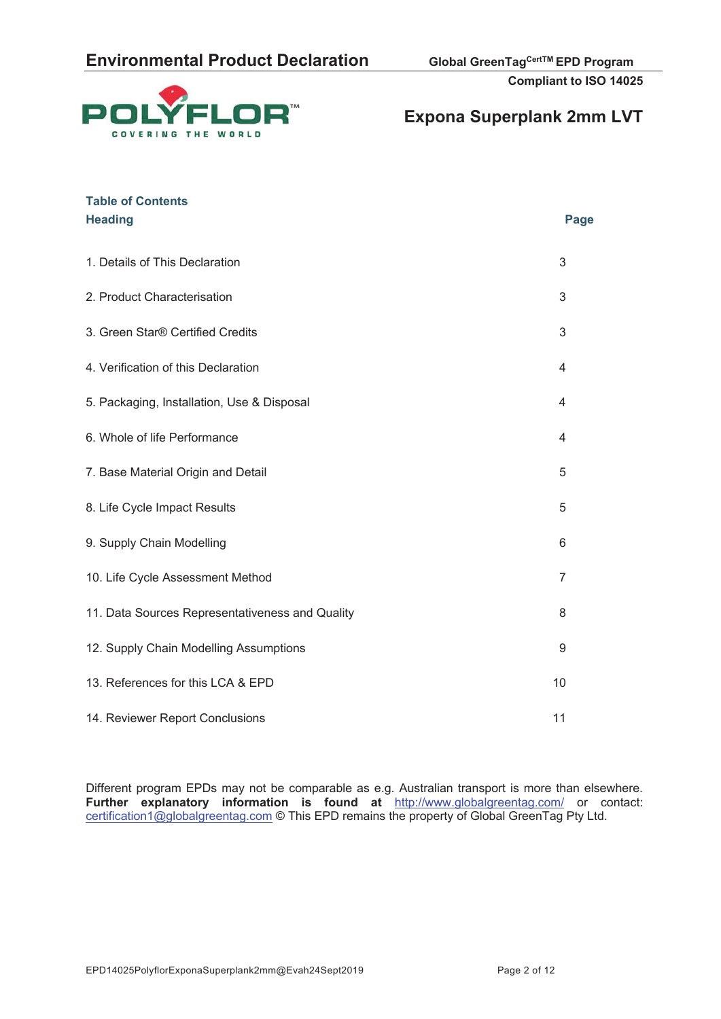



| <b>Table of Contents</b><br><b>Heading</b>      | Page           |
|-------------------------------------------------|----------------|
| 1. Details of This Declaration                  | 3              |
| 2. Product Characterisation                     | 3              |
| 3. Green Star® Certified Credits                | 3              |
| 4. Verification of this Declaration             | $\overline{4}$ |
| 5. Packaging, Installation, Use & Disposal      | 4              |
| 6. Whole of life Performance                    | 4              |
| 7. Base Material Origin and Detail              | 5              |
| 8. Life Cycle Impact Results                    | 5              |
| 9. Supply Chain Modelling                       | 6              |
| 10. Life Cycle Assessment Method                | $\overline{7}$ |
| 11. Data Sources Representativeness and Quality | 8              |
| 12. Supply Chain Modelling Assumptions          | 9              |
| 13. References for this LCA & EPD               | 10             |
| 14. Reviewer Report Conclusions                 | 11             |

Different program EPDs may not be comparable as e.g. Australian transport is more than elsewhere. **Further explanatory information is found at** http://www.globalgreentag.com/ or contact: certification1@globalgreentag.com © This EPD remains the property of Global GreenTag Pty Ltd.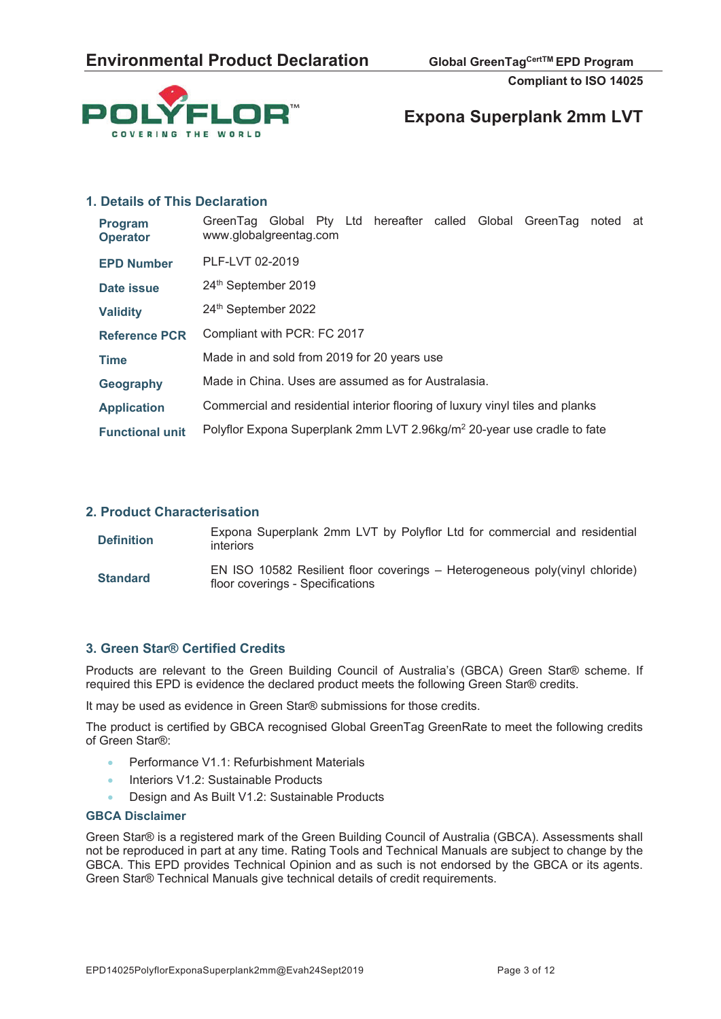

### **Expona Superplank 2mm LVT**

### **1. Details of This Declaration**

| <b>Program</b><br><b>Operator</b> | GreenTag Global Pty Ltd hereafter called Global GreenTag<br>noted at<br>www.globalgreentag.com |  |  |  |  |  |
|-----------------------------------|------------------------------------------------------------------------------------------------|--|--|--|--|--|
| <b>EPD Number</b>                 | PLF-LVT 02-2019                                                                                |  |  |  |  |  |
| Date issue                        | 24th September 2019                                                                            |  |  |  |  |  |
| <b>Validity</b>                   | 24th September 2022                                                                            |  |  |  |  |  |
| <b>Reference PCR</b>              | Compliant with PCR: FC 2017                                                                    |  |  |  |  |  |
| <b>Time</b>                       | Made in and sold from 2019 for 20 years use                                                    |  |  |  |  |  |
| Geography                         | Made in China. Uses are assumed as for Australasia.                                            |  |  |  |  |  |
| <b>Application</b>                | Commercial and residential interior flooring of luxury vinyl tiles and planks                  |  |  |  |  |  |
| <b>Functional unit</b>            | Polyflor Expona Superplank 2mm LVT 2.96kg/m <sup>2</sup> 20-year use cradle to fate            |  |  |  |  |  |

#### **2. Product Characterisation**

| <b>Definition</b> | Expona Superplank 2mm LVT by Polyflor Ltd for commercial and residential<br><i>interiors</i>                    |
|-------------------|-----------------------------------------------------------------------------------------------------------------|
| <b>Standard</b>   | EN ISO 10582 Resilient floor coverings - Heterogeneous poly(vinyl chloride)<br>floor coverings - Specifications |

### **3. Green Star® Certified Credits**

Products are relevant to the Green Building Council of Australia's (GBCA) Green Star® scheme. If required this EPD is evidence the declared product meets the following Green Star® credits.

It may be used as evidence in Green Star® submissions for those credits.

The product is certified by GBCA recognised Global GreenTag GreenRate to meet the following credits of Green Star®:

- x Performance V1.1: Refurbishment Materials
- Interiors V1.2: Sustainable Products
- Design and As Built V1.2: Sustainable Products

#### **GBCA Disclaimer**

Green Star® is a registered mark of the Green Building Council of Australia (GBCA). Assessments shall not be reproduced in part at any time. Rating Tools and Technical Manuals are subject to change by the GBCA. This EPD provides Technical Opinion and as such is not endorsed by the GBCA or its agents. Green Star® Technical Manuals give technical details of credit requirements.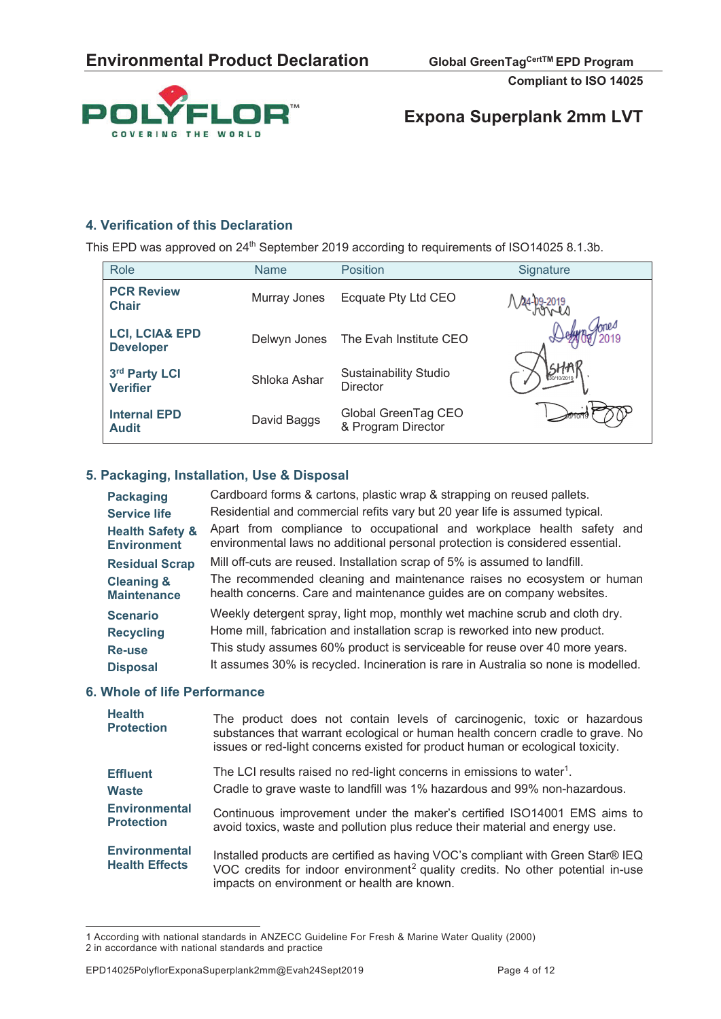



### **4. Verification of this Declaration**

This EPD was approved on 24<sup>th</sup> September 2019 according to requirements of ISO14025 8.1.3b.

| <b>Role</b>                                   | <b>Name</b>  | <b>Position</b>                                 | Signature  |
|-----------------------------------------------|--------------|-------------------------------------------------|------------|
| <b>PCR Review</b><br><b>Chair</b>             | Murray Jones | Ecquate Pty Ltd CEO                             |            |
| <b>LCI, LCIA&amp; EPD</b><br><b>Developer</b> | Delwyn Jones | The Evah Institute CEO                          |            |
| 3rd Party LCI<br><b>Verifier</b>              | Shloka Ashar | <b>Sustainability Studio</b><br><b>Director</b> | 30/10/2019 |
| <b>Internal EPD</b><br><b>Audit</b>           | David Baggs  | Global GreenTag CEO<br>& Program Director       |            |

### **5. Packaging, Installation, Use & Disposal**

| <b>Packaging</b>           | Cardboard forms & cartons, plastic wrap & strapping on reused pallets.             |
|----------------------------|------------------------------------------------------------------------------------|
| <b>Service life</b>        | Residential and commercial refits vary but 20 year life is assumed typical.        |
| <b>Health Safety &amp;</b> | Apart from compliance to occupational and workplace health safety and              |
| <b>Environment</b>         | environmental laws no additional personal protection is considered essential.      |
| <b>Residual Scrap</b>      | Mill off-cuts are reused. Installation scrap of 5% is assumed to landfill.         |
| <b>Cleaning &amp;</b>      | The recommended cleaning and maintenance raises no ecosystem or human              |
| <b>Maintenance</b>         | health concerns. Care and maintenance guides are on company websites.              |
| <b>Scenario</b>            | Weekly detergent spray, light mop, monthly wet machine scrub and cloth dry.        |
| <b>Recycling</b>           | Home mill, fabrication and installation scrap is reworked into new product.        |
| <b>Re-use</b>              | This study assumes 60% product is serviceable for reuse over 40 more years.        |
| <b>Disposal</b>            | It assumes 30% is recycled. Incineration is rare in Australia so none is modelled. |

### **6. Whole of life Performance**

| <b>Health</b><br><b>Protection</b>            | The product does not contain levels of carcinogenic, toxic or hazardous<br>substances that warrant ecological or human health concern cradle to grave. No<br>issues or red-light concerns existed for product human or ecological toxicity. |
|-----------------------------------------------|---------------------------------------------------------------------------------------------------------------------------------------------------------------------------------------------------------------------------------------------|
| <b>Effluent</b>                               | The LCI results raised no red-light concerns in emissions to water <sup>1</sup> .                                                                                                                                                           |
| <b>Waste</b>                                  | Cradle to grave waste to landfill was 1% hazardous and 99% non-hazardous.                                                                                                                                                                   |
| <b>Environmental</b>                          | Continuous improvement under the maker's certified ISO14001 EMS aims to                                                                                                                                                                     |
| <b>Protection</b>                             | avoid toxics, waste and pollution plus reduce their material and energy use.                                                                                                                                                                |
| <b>Environmental</b><br><b>Health Effects</b> | Installed products are certified as having VOC's compliant with Green Star® IEQ<br>VOC credits for indoor environment <sup>2</sup> quality credits. No other potential in-use<br>impacts on environment or health are known.                |

<sup>1</sup> According with national standards in ANZECC Guideline For Fresh & Marine Water Quality (2000) 2 in accordance with national standards and practice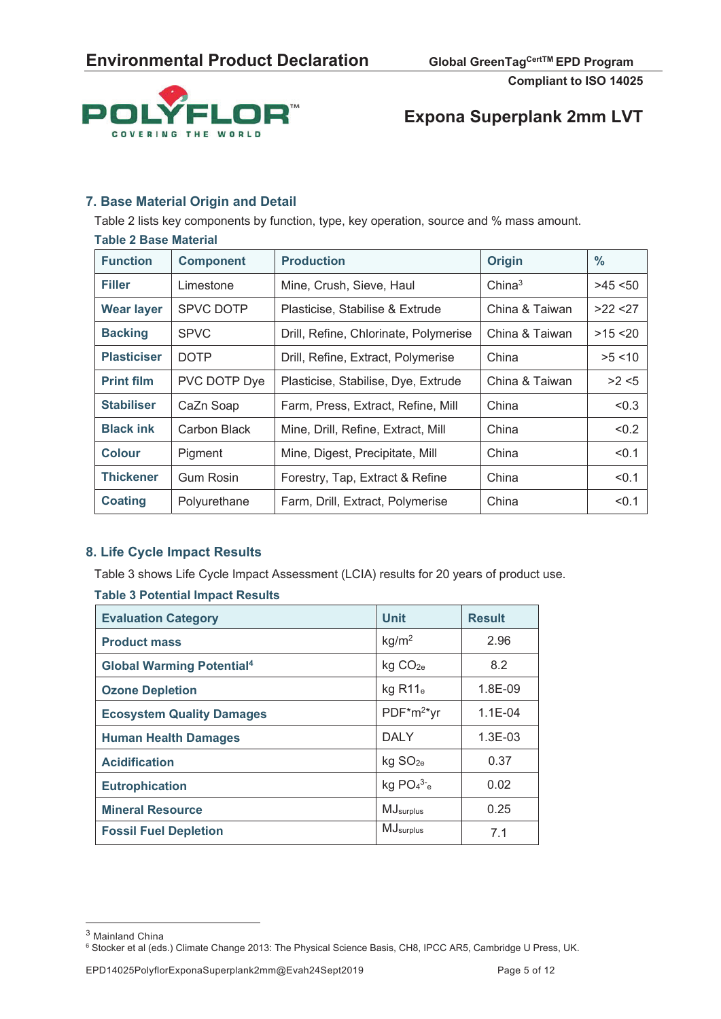

# **Expona Superplank 2mm LVT**

### **7. Base Material Origin and Detail**

Table 2 lists key components by function, type, key operation, source and % mass amount.

| <b>Table 2 Base Material</b> |                  |                                       |                    |            |  |
|------------------------------|------------------|---------------------------------------|--------------------|------------|--|
| <b>Function</b>              | <b>Component</b> | <b>Production</b>                     | <b>Origin</b>      | $\%$       |  |
| <b>Filler</b>                | Limestone        | Mine, Crush, Sieve, Haul              | China <sup>3</sup> | >45 < 50   |  |
| <b>Wear layer</b>            | <b>SPVC DOTP</b> | Plasticise, Stabilise & Extrude       | China & Taiwan     | >22 < 27   |  |
| <b>Backing</b>               | <b>SPVC</b>      | Drill, Refine, Chlorinate, Polymerise | China & Taiwan     | $>15$ < 20 |  |
| <b>Plasticiser</b>           | <b>DOTP</b>      | Drill, Refine, Extract, Polymerise    | China              | >5 < 10    |  |
| <b>Print film</b>            | PVC DOTP Dye     | Plasticise, Stabilise, Dye, Extrude   | China & Taiwan     | >2 < 5     |  |
| <b>Stabiliser</b>            | CaZn Soap        | Farm, Press, Extract, Refine, Mill    | China              | < 0.3      |  |
| <b>Black ink</b>             | Carbon Black     | Mine, Drill, Refine, Extract, Mill    | China              | < 0.2      |  |
| <b>Colour</b>                | Pigment          | Mine, Digest, Precipitate, Mill       | China              | < 0.1      |  |
| <b>Thickener</b>             | <b>Gum Rosin</b> | Forestry, Tap, Extract & Refine       | China              | < 0.1      |  |
| <b>Coating</b>               | Polyurethane     | Farm, Drill, Extract, Polymerise      | China              | < 0.1      |  |

### **8. Life Cycle Impact Results**

Table 3 shows Life Cycle Impact Assessment (LCIA) results for 20 years of product use.

#### **Table 3 Potential Impact Results**

| <b>Evaluation Category</b>       | <b>Unit</b>               | <b>Result</b> |
|----------------------------------|---------------------------|---------------|
| <b>Product mass</b>              | kg/m <sup>2</sup>         | 2.96          |
| <b>Global Warming Potential4</b> | kg CO <sub>2e</sub>       | 8.2           |
| <b>Ozone Depletion</b>           | $kg$ R11 $_e$             | 1.8E-09       |
| <b>Ecosystem Quality Damages</b> | $PDF*m2*vr$               | $1.1E - 04$   |
| <b>Human Health Damages</b>      | <b>DALY</b>               | $1.3E-03$     |
| <b>Acidification</b>             | kg SO <sub>2e</sub>       | 0.37          |
| <b>Eutrophication</b>            | kg $PO4^3$ <sup>-</sup> e | 0.02          |
| <b>Mineral Resource</b>          | MJsurplus                 | 0.25          |
| <b>Fossil Fuel Depletion</b>     | <b>MJ</b> surplus         | 7.1           |

 $^3$ Mainland China

<sup>6</sup> Stocker et al (eds.) Climate Change 2013: The Physical Science Basis, CH8, IPCC AR5, Cambridge U Press, UK.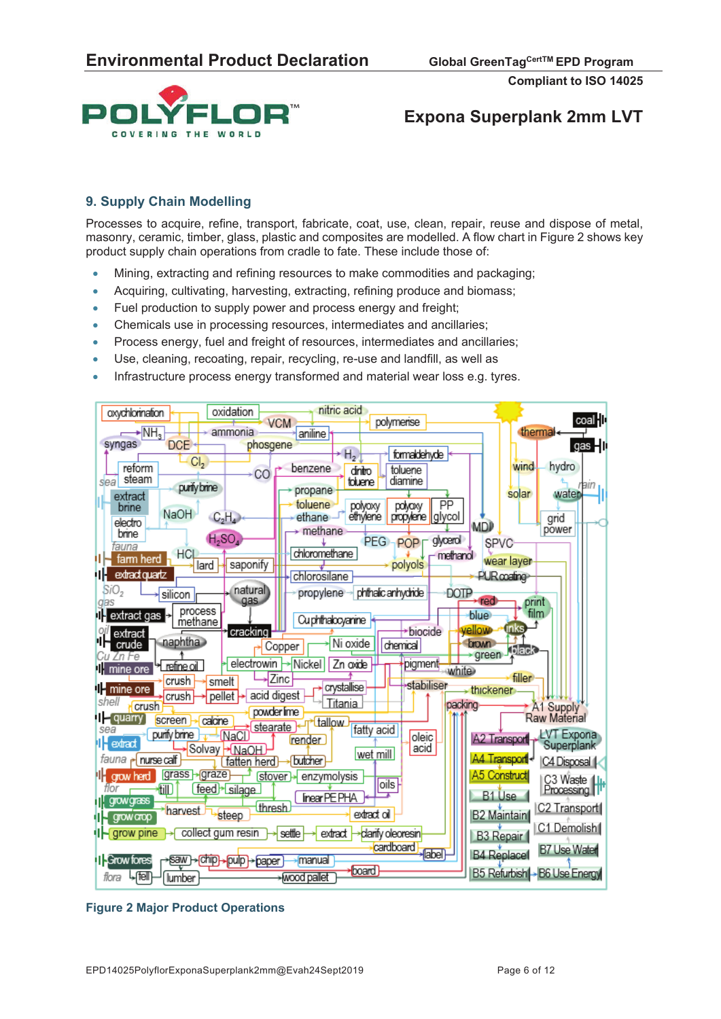

### **Expona Superplank 2mm LVT**

### **9. Supply Chain Modelling**

Processes to acquire, refine, transport, fabricate, coat, use, clean, repair, reuse and dispose of metal, masonry, ceramic, timber, glass, plastic and composites are modelled. A flow chart in Figure 2 shows key product supply chain operations from cradle to fate. These include those of:

- x Mining, extracting and refining resources to make commodities and packaging;
- Acquiring, cultivating, harvesting, extracting, refining produce and biomass;
- Fuel production to supply power and process energy and freight;
- x Chemicals use in processing resources, intermediates and ancillaries;
- Process energy, fuel and freight of resources, intermediates and ancillaries;
- Use, cleaning, recoating, repair, recycling, re-use and landfill, as well as
- Infrastructure process energy transformed and material wear loss e.g. tyres.



#### **Figure 2 Major Product Operations**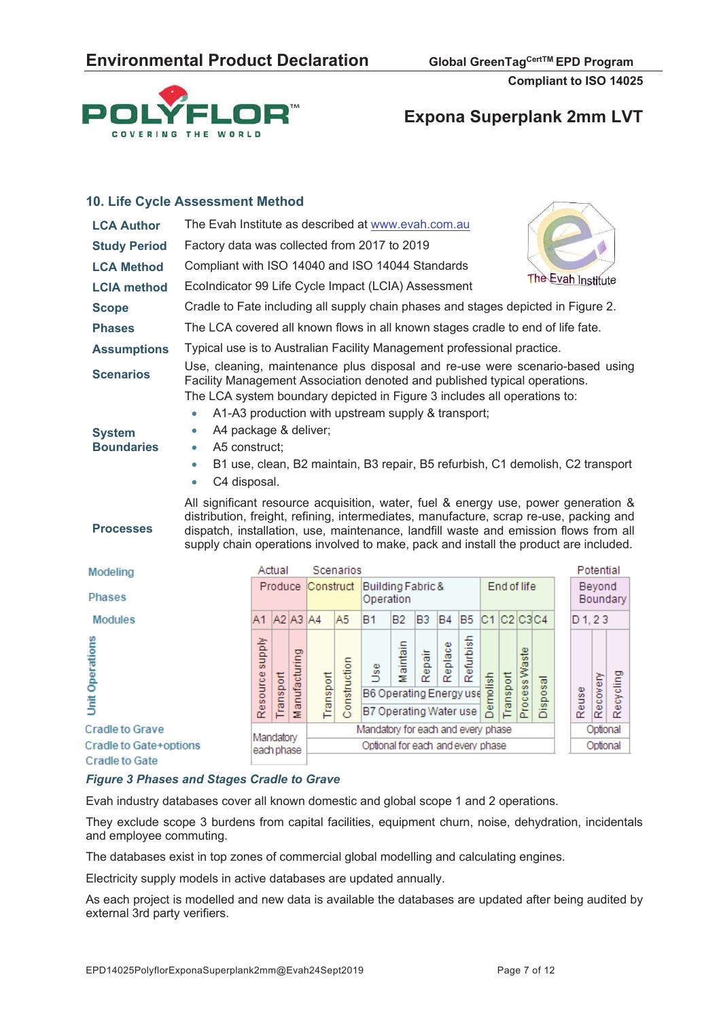

#### **10. Life Cycle Assessment Method LCA Author** The Evah Institute as described at www.evah.com.au **Study Period** Factory data was collected from 2017 to 2019 **LCA Method** Compliant with ISO 14040 and ISO 14044 Standards The Evah Institute **LCIA method** EcoIndicator 99 Life Cycle Impact (LCIA) Assessment **Scope** Cradle to Fate including all supply chain phases and stages depicted in Figure 2. **Phases** The LCA covered all known flows in all known stages cradle to end of life fate. **Assumptions** Typical use is to Australian Facility Management professional practice. **Scenarios** Use, cleaning, maintenance plus disposal and re-use were scenario-based using Facility Management Association denoted and published typical operations. The LCA system boundary depicted in Figure 3 includes all operations to: A1-A3 production with upstream supply & transport; A4 package & deliver; **System Boundaries**  A5 construct; B1 use, clean, B2 maintain, B3 repair, B5 refurbish, C1 demolish, C2 transport C4 disposal. All significant resource acquisition, water, fuel & energy use, power generation & distribution, freight, refining, intermediates, manufacture, scrap re-use, packing and **Processes**  dispatch, installation, use, maintenance, landfill waste and emission flows from all supply chain operations involved to make, pack and install the product are included. Scenarios Potential Actual Modeling Produce Construct Building Fabric & End of life Beyond **Phases** Boundary Operation B<sub>2</sub> Modules A1 A2 A3 A4 A5 B<sub>1</sub> B<sub>3</sub>  $B4$ B<sub>5</sub>  $C1$  $C2$  $C3C4$  $D<sub>1.23</sub>$ ylddns urbish Operations intain lace aste g 富 듲 Recycling Recovery

|                        | Φ<br>ĝ<br>읆<br>Resou<br>능<br>$\overline{\sigma}$<br>Ξ | ᡂ<br>Φ<br>യ<br>Φ<br>w<br>ransport<br>$\sim$<br>55<br>3<br>w<br>8<br>B6 Operating Energy use<br>۰<br>å<br>ိုင<br>뚄<br>۰<br>꽃<br>B7 Operating Water use | ω<br>w<br>¢<br>$\sim$ |
|------------------------|-------------------------------------------------------|-------------------------------------------------------------------------------------------------------------------------------------------------------|-----------------------|
| <b>Cradle to Grave</b> | Mandatory                                             | Mandatory for each and every phase                                                                                                                    |                       |
| Cradle to Gate+options | each phase                                            | Optional for each and every phase                                                                                                                     |                       |
| <b>Cradle to Gate</b>  |                                                       |                                                                                                                                                       |                       |

#### *Figure 3 Phases and Stages Cradle to Grave*

Evah industry databases cover all known domestic and global scope 1 and 2 operations.

They exclude scope 3 burdens from capital facilities, equipment churn, noise, dehydration, incidentals and employee commuting.

The databases exist in top zones of commercial global modelling and calculating engines.

Electricity supply models in active databases are updated annually.

As each project is modelled and new data is available the databases are updated after being audited by external 3rd party verifiers.

ptional

ptional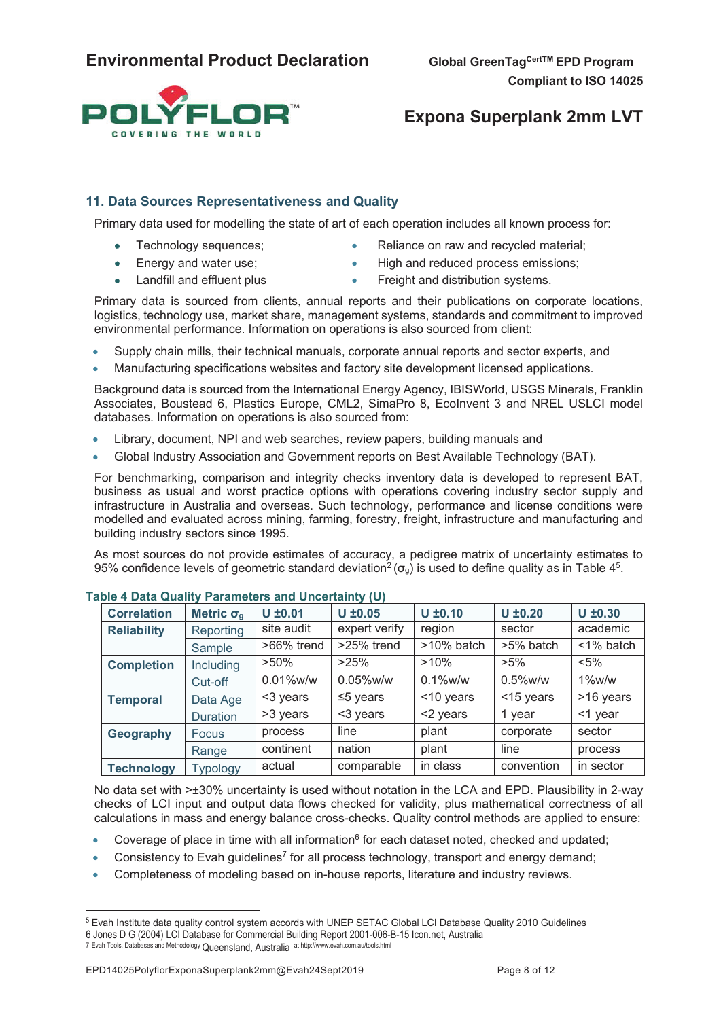



### **11. Data Sources Representativeness and Quality**

Primary data used for modelling the state of art of each operation includes all known process for:

- - Technology sequences; **x** Reliance on raw and recycled material;
- 
- Energy and water use;  $\bullet$  High and reduced process emissions;
- Landfill and effluent plus **and the Strategier Container and Strategier Containers**.
- 

Primary data is sourced from clients, annual reports and their publications on corporate locations, logistics, technology use, market share, management systems, standards and commitment to improved environmental performance. Information on operations is also sourced from client:

- Supply chain mills, their technical manuals, corporate annual reports and sector experts, and
- x Manufacturing specifications websites and factory site development licensed applications.

Background data is sourced from the International Energy Agency, IBISWorld, USGS Minerals, Franklin Associates, Boustead 6, Plastics Europe, CML2, SimaPro 8, EcoInvent 3 and NREL USLCI model databases. Information on operations is also sourced from:

- Library, document, NPI and web searches, review papers, building manuals and
- Global Industry Association and Government reports on Best Available Technology (BAT).

For benchmarking, comparison and integrity checks inventory data is developed to represent BAT, business as usual and worst practice options with operations covering industry sector supply and infrastructure in Australia and overseas. Such technology, performance and license conditions were modelled and evaluated across mining, farming, forestry, freight, infrastructure and manufacturing and building industry sectors since 1995.

As most sources do not provide estimates of accuracy, a pedigree matrix of uncertainty estimates to 95% confidence levels of geometric standard deviation<sup>2</sup> ( $\sigma_{g}$ ) is used to define quality as in Table 4<sup>5</sup>.

| <b>Correlation</b> | Metric $\sigma_{g}$ | $U \pm 0.01$  | $U \pm 0.05$   | $U \pm 0.10$  | $U \pm 0.20$ | $U \pm 0.30$ |
|--------------------|---------------------|---------------|----------------|---------------|--------------|--------------|
| <b>Reliability</b> | Reporting           | site audit    | expert verify  | region        | sector       | academic     |
|                    | Sample              | $>66\%$ trend | >25% trend     | $>10\%$ batch | >5% batch    | <1% batch    |
| <b>Completion</b>  | Including           | $>50\%$       | >25%           | $>10\%$       | $>5\%$       | $< 5\%$      |
|                    | Cut-off             | 0.01%w/w      | $0.05\%$ w/w   | $0.1\%$ w/w   | $0.5\%$ w/w  | $1\%$ w/w    |
| <b>Temporal</b>    | Data Age            | <3 years      | $\leq$ 5 years | <10 years     | <15 years    | >16 years    |
|                    | <b>Duration</b>     | >3 years      | <3 years       | <2 years      | 1 year       | <1 year      |
| Geography          | <b>Focus</b>        | process       | line           | plant         | corporate    | sector       |
|                    | Range               | continent     | nation         | plant         | line         | process      |
| <b>Technology</b>  | Typology            | actual        | comparable     | in class      | convention   | in sector    |

#### **Table 4 Data Quality Parameters and Uncertainty (U)**

No data set with >±30% uncertainty is used without notation in the LCA and EPD. Plausibility in 2-way checks of LCI input and output data flows checked for validity, plus mathematical correctness of all calculations in mass and energy balance cross-checks. Quality control methods are applied to ensure:

- Coverage of place in time with all information<sup>6</sup> for each dataset noted, checked and updated;
- Consistency to Evah guidelines<sup>7</sup> for all process technology, transport and energy demand;
- Completeness of modeling based on in-house reports, literature and industry reviews.

<sup>5</sup> Evah Institute data quality control system accords with UNEP SETAC Global LCI Database Quality 2010 Guidelines 6 Jones D G (2004) LCI Database for Commercial Building Report 2001-006-B-15 Icon.net, Australia 7 Evah Tools, Databases and Methodology Queensland, Australia at http://www.evah.com.au/tools.html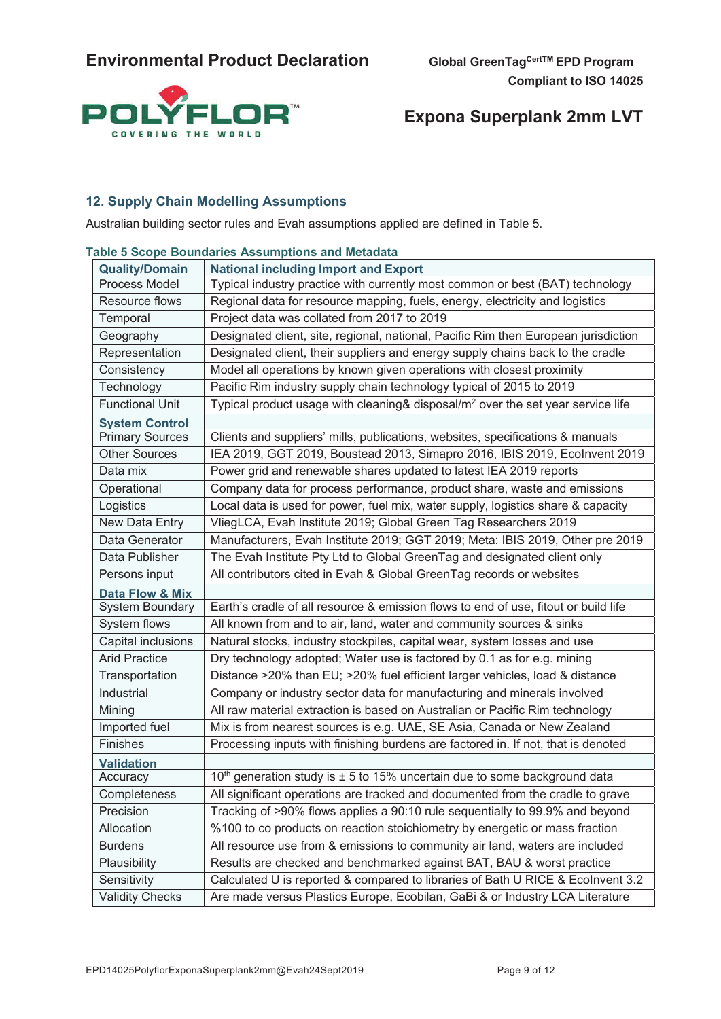

### **12. Supply Chain Modelling Assumptions**

Australian building sector rules and Evah assumptions applied are defined in Table 5.

#### **Table 5 Scope Boundaries Assumptions and Metadata**

| <b>Quality/Domain</b>      | <b>National including Import and Export</b>                                                 |
|----------------------------|---------------------------------------------------------------------------------------------|
| Process Model              | Typical industry practice with currently most common or best (BAT) technology               |
| Resource flows             | Regional data for resource mapping, fuels, energy, electricity and logistics                |
| Temporal                   | Project data was collated from 2017 to 2019                                                 |
| Geography                  | Designated client, site, regional, national, Pacific Rim then European jurisdiction         |
| Representation             | Designated client, their suppliers and energy supply chains back to the cradle              |
| Consistency                | Model all operations by known given operations with closest proximity                       |
| Technology                 | Pacific Rim industry supply chain technology typical of 2015 to 2019                        |
| <b>Functional Unit</b>     | Typical product usage with cleaning& disposal/m <sup>2</sup> over the set year service life |
| <b>System Control</b>      |                                                                                             |
| <b>Primary Sources</b>     | Clients and suppliers' mills, publications, websites, specifications & manuals              |
| <b>Other Sources</b>       | IEA 2019, GGT 2019, Boustead 2013, Simapro 2016, IBIS 2019, Ecolnvent 2019                  |
| Data mix                   | Power grid and renewable shares updated to latest IEA 2019 reports                          |
| Operational                | Company data for process performance, product share, waste and emissions                    |
| Logistics                  | Local data is used for power, fuel mix, water supply, logistics share & capacity            |
| New Data Entry             | VliegLCA, Evah Institute 2019; Global Green Tag Researchers 2019                            |
| Data Generator             | Manufacturers, Evah Institute 2019; GGT 2019; Meta: IBIS 2019, Other pre 2019               |
| Data Publisher             | The Evah Institute Pty Ltd to Global GreenTag and designated client only                    |
| Persons input              | All contributors cited in Evah & Global GreenTag records or websites                        |
| <b>Data Flow &amp; Mix</b> |                                                                                             |
| System Boundary            | Earth's cradle of all resource & emission flows to end of use, fitout or build life         |
| System flows               | All known from and to air, land, water and community sources & sinks                        |
| Capital inclusions         | Natural stocks, industry stockpiles, capital wear, system losses and use                    |
| <b>Arid Practice</b>       | Dry technology adopted; Water use is factored by 0.1 as for e.g. mining                     |
| Transportation             | Distance >20% than EU; >20% fuel efficient larger vehicles, load & distance                 |
| Industrial                 | Company or industry sector data for manufacturing and minerals involved                     |
| Mining                     | All raw material extraction is based on Australian or Pacific Rim technology                |
| Imported fuel              | Mix is from nearest sources is e.g. UAE, SE Asia, Canada or New Zealand                     |
| Finishes                   | Processing inputs with finishing burdens are factored in. If not, that is denoted           |
| <b>Validation</b>          |                                                                                             |
| Accuracy                   | 10 <sup>th</sup> generation study is $\pm$ 5 to 15% uncertain due to some background data   |
| Completeness               | All significant operations are tracked and documented from the cradle to grave              |
| Precision                  | Tracking of >90% flows applies a 90:10 rule sequentially to 99.9% and beyond                |
| Allocation                 | %100 to co products on reaction stoichiometry by energetic or mass fraction                 |
| <b>Burdens</b>             | All resource use from & emissions to community air land, waters are included                |
| Plausibility               | Results are checked and benchmarked against BAT, BAU & worst practice                       |
| Sensitivity                | Calculated U is reported & compared to libraries of Bath U RICE & Ecolnvent 3.2             |
| <b>Validity Checks</b>     | Are made versus Plastics Europe, Ecobilan, GaBi & or Industry LCA Literature                |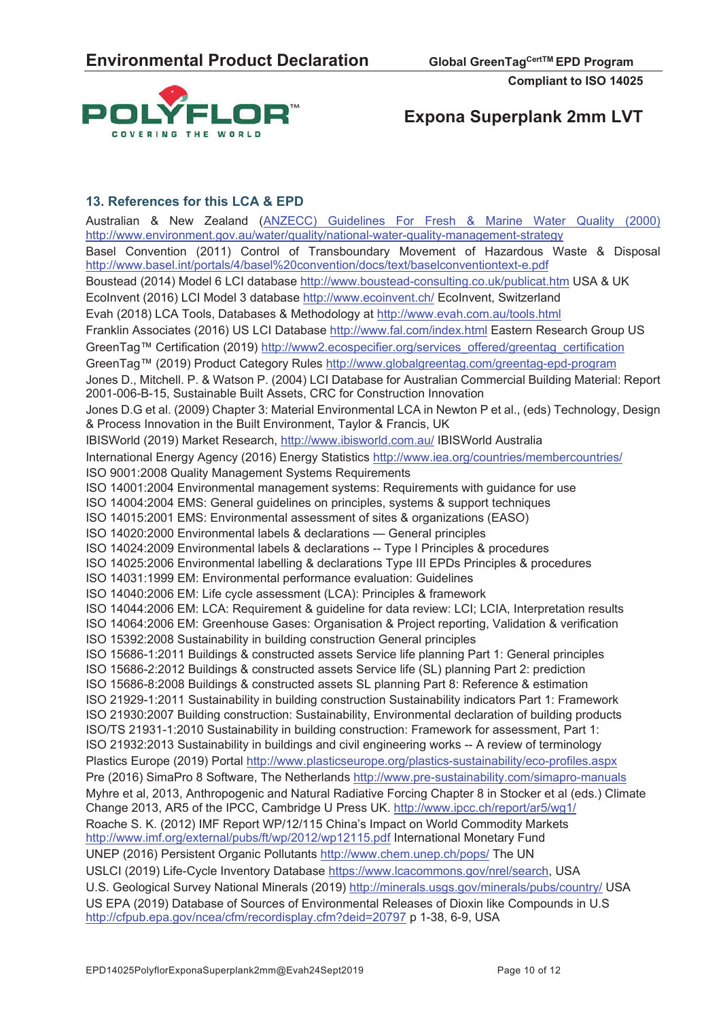

# **Expona Superplank 2mm LVT**

### **13. References for this LCA & EPD**

Australian & New Zealand (ANZECC) Guidelines For Fresh & Marine Water Quality (2000) http://www.environment.gov.au/water/quality/national-water-quality-management-strategy Basel Convention (2011) Control of Transboundary Movement of Hazardous Waste & Disposal http://www.basel.int/portals/4/basel%20convention/docs/text/baselconventiontext-e.pdf Boustead (2014) Model 6 LCI database http://www.boustead-consulting.co.uk/publicat.htm USA & UK EcoInvent (2016) LCI Model 3 database http://www.ecoinvent.ch/ EcoInvent, Switzerland Evah (2018) LCA Tools, Databases & Methodology at http://www.evah.com.au/tools.html Franklin Associates (2016) US LCI Database http://www.fal.com/index.html Eastern Research Group US GreenTag™ Certification (2019) http://www2.ecospecifier.org/services\_offered/greentag\_certification GreenTag™ (2019) Product Category Rules http://www.globalgreentag.com/greentag-epd-program Jones D., Mitchell. P. & Watson P. (2004) LCI Database for Australian Commercial Building Material: Report 2001-006-B-15, Sustainable Built Assets, CRC for Construction Innovation Jones D.G et al. (2009) Chapter 3: Material Environmental LCA in Newton P et al., (eds) Technology, Design & Process Innovation in the Built Environment, Taylor & Francis, UK IBISWorld (2019) Market Research, http://www.ibisworld.com.au/ IBISWorld Australia International Energy Agency (2016) Energy Statistics http://www.iea.org/countries/membercountries/ ISO 9001:2008 Quality Management Systems Requirements ISO 14001:2004 Environmental management systems: Requirements with guidance for use ISO 14004:2004 EMS: General guidelines on principles, systems & support techniques ISO 14015:2001 EMS: Environmental assessment of sites & organizations (EASO) ISO 14020:2000 Environmental labels & declarations — General principles ISO 14024:2009 Environmental labels & declarations -- Type I Principles & procedures ISO 14025:2006 Environmental labelling & declarations Type III EPDs Principles & procedures ISO 14031:1999 EM: Environmental performance evaluation: Guidelines ISO 14040:2006 EM: Life cycle assessment (LCA): Principles & framework ISO 14044:2006 EM: LCA: Requirement & guideline for data review: LCI; LCIA, Interpretation results ISO 14064:2006 EM: Greenhouse Gases: Organisation & Project reporting, Validation & verification ISO 15392:2008 Sustainability in building construction General principles ISO 15686-1:2011 Buildings & constructed assets Service life planning Part 1: General principles ISO 15686-2:2012 Buildings & constructed assets Service life (SL) planning Part 2: prediction ISO 15686-8:2008 Buildings & constructed assets SL planning Part 8: Reference & estimation ISO 21929-1:2011 Sustainability in building construction Sustainability indicators Part 1: Framework ISO 21930:2007 Building construction: Sustainability, Environmental declaration of building products ISO/TS 21931-1:2010 Sustainability in building construction: Framework for assessment, Part 1: ISO 21932:2013 Sustainability in buildings and civil engineering works -- A review of terminology Plastics Europe (2019) Portal http://www.plasticseurope.org/plastics-sustainability/eco-profiles.aspx Pre (2016) SimaPro 8 Software, The Netherlands http://www.pre-sustainability.com/simapro-manuals Myhre et al, 2013, Anthropogenic and Natural Radiative Forcing Chapter 8 in Stocker et al (eds.) Climate Change 2013, AR5 of the IPCC, Cambridge U Press UK. http://www.ipcc.ch/report/ar5/wg1/ Roache S. K. (2012) IMF Report WP/12/115 China's Impact on World Commodity Markets http://www.imf.org/external/pubs/ft/wp/2012/wp12115.pdf International Monetary Fund UNEP (2016) Persistent Organic Pollutants http://www.chem.unep.ch/pops/ The UN USLCI (2019) Life-Cycle Inventory Database https://www.lcacommons.gov/nrel/search, USA U.S. Geological Survey National Minerals (2019) http://minerals.usgs.gov/minerals/pubs/country/ USA US EPA (2019) Database of Sources of Environmental Releases of Dioxin like Compounds in U.S http://cfpub.epa.gov/ncea/cfm/recordisplay.cfm?deid=20797 p 1-38, 6-9, USA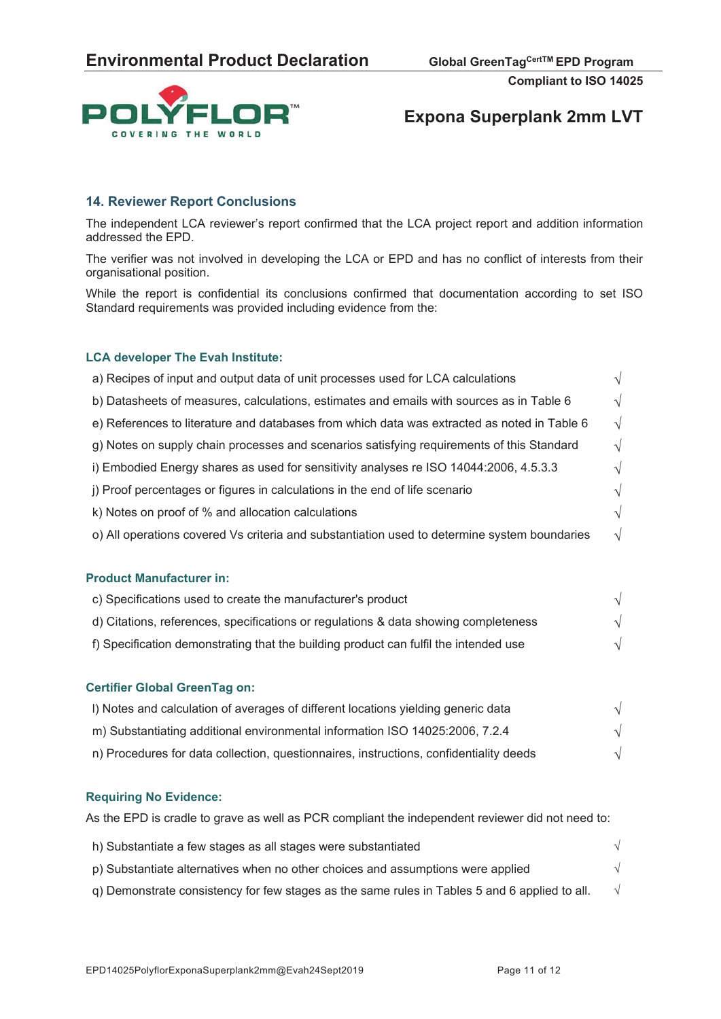

# **Expona Superplank 2mm LVT**

### **14. Reviewer Report Conclusions**

The independent LCA reviewer's report confirmed that the LCA project report and addition information addressed the EPD.

The verifier was not involved in developing the LCA or EPD and has no conflict of interests from their organisational position.

While the report is confidential its conclusions confirmed that documentation according to set ISO Standard requirements was provided including evidence from the:

#### **LCA developer The Evah Institute:**

| a) Recipes of input and output data of unit processes used for LCA calculations              |               |
|----------------------------------------------------------------------------------------------|---------------|
| b) Datasheets of measures, calculations, estimates and emails with sources as in Table 6     | $\sqrt{ }$    |
| e) References to literature and databases from which data was extracted as noted in Table 6  | $\sqrt{ }$    |
| g) Notes on supply chain processes and scenarios satisfying requirements of this Standard    | V             |
| i) Embodied Energy shares as used for sensitivity analyses re ISO 14044:2006, 4.5.3.3        | N             |
| j) Proof percentages or figures in calculations in the end of life scenario                  |               |
| k) Notes on proof of % and allocation calculations                                           | V             |
| o) All operations covered Vs criteria and substantiation used to determine system boundaries | $\mathcal{N}$ |
|                                                                                              |               |

#### **Product Manufacturer in:**

| c) Specifications used to create the manufacturer's product                          |  |
|--------------------------------------------------------------------------------------|--|
| d) Citations, references, specifications or regulations & data showing completeness  |  |
| f) Specification demonstrating that the building product can fulfil the intended use |  |

#### **Certifier Global GreenTag on:**

| I) Notes and calculation of averages of different locations yielding generic data      |  |
|----------------------------------------------------------------------------------------|--|
| m) Substantiating additional environmental information ISO 14025:2006, 7.2.4           |  |
| n) Procedures for data collection, questionnaires, instructions, confidentiality deeds |  |

#### **Requiring No Evidence:**

As the EPD is cradle to grave as well as PCR compliant the independent reviewer did not need to:

| h) Substantiate a few stages as all stages were substantiated                                 |  |
|-----------------------------------------------------------------------------------------------|--|
| p) Substantiate alternatives when no other choices and assumptions were applied               |  |
| g) Demonstrate consistency for few stages as the same rules in Tables 5 and 6 applied to all. |  |